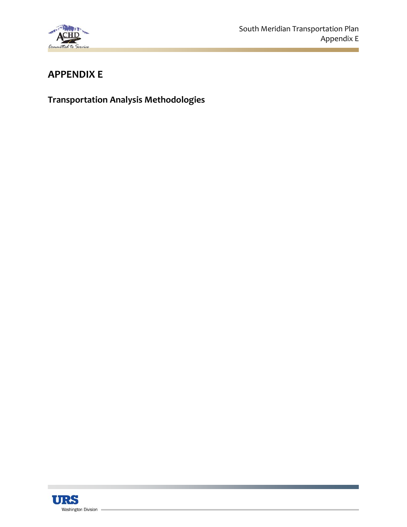

# **APPENDIX E**

**Transportation Analysis Methodologies**

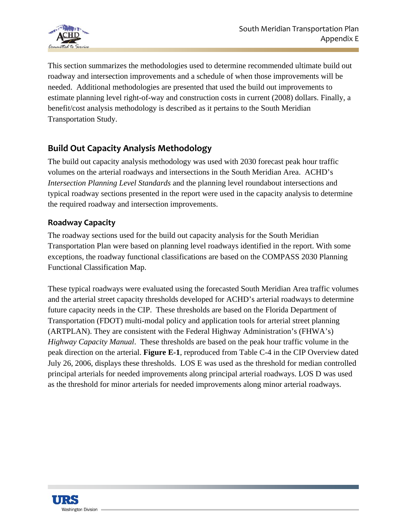

This section summarizes the methodologies used to determine recommended ultimate build out roadway and intersection improvements and a schedule of when those improvements will be needed. Additional methodologies are presented that used the build out improvements to estimate planning level right-of-way and construction costs in current (2008) dollars. Finally, a benefit/cost analysis methodology is described as it pertains to the South Meridian Transportation Study.

# **Build Out Capacity Analysis Methodology**

The build out capacity analysis methodology was used with 2030 forecast peak hour traffic volumes on the arterial roadways and intersections in the South Meridian Area. ACHD's *Intersection Planning Level Standards* and the planning level roundabout intersections and typical roadway sections presented in the report were used in the capacity analysis to determine the required roadway and intersection improvements.

#### **Roadway Capacity**

The roadway sections used for the build out capacity analysis for the South Meridian Transportation Plan were based on planning level roadways identified in the report. With some exceptions, the roadway functional classifications are based on the COMPASS 2030 Planning Functional Classification Map.

These typical roadways were evaluated using the forecasted South Meridian Area traffic volumes and the arterial street capacity thresholds developed for ACHD's arterial roadways to determine future capacity needs in the CIP. These thresholds are based on the Florida Department of Transportation (FDOT) multi-modal policy and application tools for arterial street planning (ARTPLAN). They are consistent with the Federal Highway Administration's (FHWA's) *Highway Capacity Manual*. These thresholds are based on the peak hour traffic volume in the peak direction on the arterial. **Figure E-1**, reproduced from Table C-4 in the CIP Overview dated July 26, 2006, displays these thresholds. LOS E was used as the threshold for median controlled principal arterials for needed improvements along principal arterial roadways. LOS D was used as the threshold for minor arterials for needed improvements along minor arterial roadways.

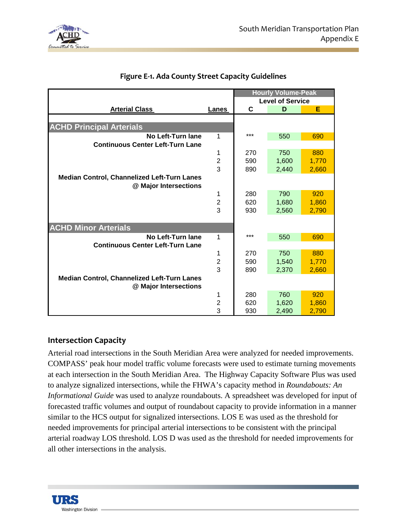

|                                                    |                         | <b>Hourly Volume-Peak</b> |       |       |
|----------------------------------------------------|-------------------------|---------------------------|-------|-------|
|                                                    |                         | <b>Level of Service</b>   |       |       |
| <b>Arterial Class</b>                              | Lanes                   | C                         | D     | Е     |
|                                                    |                         |                           |       |       |
| <b>ACHD Principal Arterials</b>                    |                         |                           |       |       |
| No Left-Turn lane                                  | 1                       | ***                       | 550   | 690   |
| <b>Continuous Center Left-Turn Lane</b>            |                         |                           |       |       |
|                                                    | 1                       | 270                       | 750   | 880   |
|                                                    | $\overline{\mathbf{c}}$ | 590                       | 1,600 | 1,770 |
|                                                    | 3                       | 890                       | 2,440 | 2,660 |
| Median Control, Channelized Left-Turn Lanes        |                         |                           |       |       |
| @ Major Intersections                              |                         |                           |       |       |
|                                                    | 1                       | 280                       | 790   | 920   |
|                                                    | $\overline{2}$          | 620                       | 1,680 | 1,860 |
|                                                    | 3                       | 930                       | 2,560 | 2,790 |
|                                                    |                         |                           |       |       |
| <b>ACHD Minor Arterials</b>                        |                         |                           |       |       |
| No Left-Turn lane                                  | 1                       | ***                       | 550   | 690   |
| <b>Continuous Center Left-Turn Lane</b>            |                         |                           |       |       |
|                                                    | 1                       | 270                       | 750   | 880   |
|                                                    | $\overline{\mathbf{c}}$ | 590                       | 1,540 | 1,770 |
|                                                    | 3                       | 890                       | 2,370 | 2,660 |
| <b>Median Control, Channelized Left-Turn Lanes</b> |                         |                           |       |       |
| @ Major Intersections                              |                         |                           |       |       |
|                                                    | 1                       | 280                       | 760   | 920   |
|                                                    | $\overline{2}$          | 620                       | 1,620 | 1,860 |
|                                                    | 3                       | 930                       | 2,490 | 2,790 |

### **Figure E‐1. Ada County Street Capacity Guidelines**

#### **Intersection Capacity**

Arterial road intersections in the South Meridian Area were analyzed for needed improvements. COMPASS' peak hour model traffic volume forecasts were used to estimate turning movements at each intersection in the South Meridian Area. The Highway Capacity Software Plus was used to analyze signalized intersections, while the FHWA's capacity method in *Roundabouts: An Informational Guide* was used to analyze roundabouts. A spreadsheet was developed for input of forecasted traffic volumes and output of roundabout capacity to provide information in a manner similar to the HCS output for signalized intersections. LOS E was used as the threshold for needed improvements for principal arterial intersections to be consistent with the principal arterial roadway LOS threshold. LOS D was used as the threshold for needed improvements for all other intersections in the analysis.

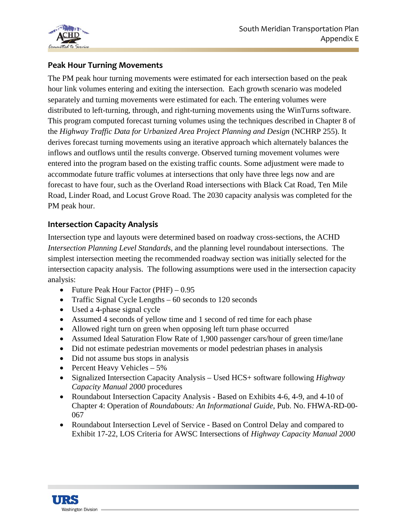

### **Peak Hour Turning Movements**

The PM peak hour turning movements were estimated for each intersection based on the peak hour link volumes entering and exiting the intersection. Each growth scenario was modeled separately and turning movements were estimated for each. The entering volumes were distributed to left-turning, through, and right-turning movements using the WinTurns software. This program computed forecast turning volumes using the techniques described in Chapter 8 of the *Highway Traffic Data for Urbanized Area Project Planning and Design* (NCHRP 255). It derives forecast turning movements using an iterative approach which alternately balances the inflows and outflows until the results converge. Observed turning movement volumes were entered into the program based on the existing traffic counts. Some adjustment were made to accommodate future traffic volumes at intersections that only have three legs now and are forecast to have four, such as the Overland Road intersections with Black Cat Road, Ten Mile Road, Linder Road, and Locust Grove Road. The 2030 capacity analysis was completed for the PM peak hour.

### **Intersection Capacity Analysis**

Intersection type and layouts were determined based on roadway cross-sections, the ACHD *Intersection Planning Level Standards*, and the planning level roundabout intersections. The simplest intersection meeting the recommended roadway section was initially selected for the intersection capacity analysis. The following assumptions were used in the intersection capacity analysis:

- Future Peak Hour Factor (PHF) 0.95
- Traffic Signal Cycle Lengths 60 seconds to 120 seconds
- Used a 4-phase signal cycle
- Assumed 4 seconds of yellow time and 1 second of red time for each phase
- Allowed right turn on green when opposing left turn phase occurred
- Assumed Ideal Saturation Flow Rate of 1,900 passenger cars/hour of green time/lane
- Did not estimate pedestrian movements or model pedestrian phases in analysis
- Did not assume bus stops in analysis
- Percent Heavy Vehicles 5%
- Signalized Intersection Capacity Analysis Used HCS+ software following *Highway Capacity Manual 2000* procedures
- Roundabout Intersection Capacity Analysis Based on Exhibits 4-6, 4-9, and 4-10 of Chapter 4: Operation of *Roundabouts: An Informational Guide*, Pub. No. FHWA-RD-00- 067
- Roundabout Intersection Level of Service Based on Control Delay and compared to Exhibit 17-22, LOS Criteria for AWSC Intersections of *Highway Capacity Manual 2000*

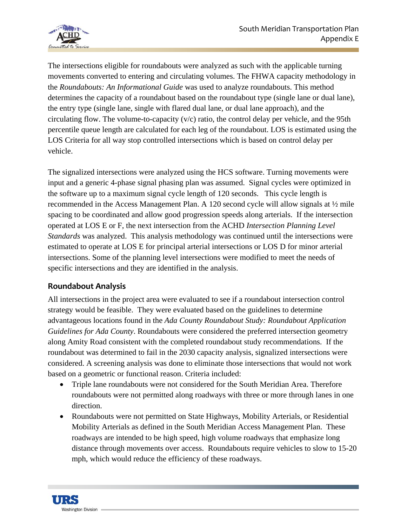

The intersections eligible for roundabouts were analyzed as such with the applicable turning movements converted to entering and circulating volumes. The FHWA capacity methodology in the *Roundabouts: An Informational Guide* was used to analyze roundabouts. This method determines the capacity of a roundabout based on the roundabout type (single lane or dual lane), the entry type (single lane, single with flared dual lane, or dual lane approach), and the circulating flow. The volume-to-capacity  $(v/c)$  ratio, the control delay per vehicle, and the 95th percentile queue length are calculated for each leg of the roundabout. LOS is estimated using the LOS Criteria for all way stop controlled intersections which is based on control delay per vehicle.

The signalized intersections were analyzed using the HCS software. Turning movements were input and a generic 4-phase signal phasing plan was assumed. Signal cycles were optimized in the software up to a maximum signal cycle length of 120 seconds. This cycle length is recommended in the Access Management Plan. A 120 second cycle will allow signals at  $\frac{1}{2}$  mile spacing to be coordinated and allow good progression speeds along arterials. If the intersection operated at LOS E or F, the next intersection from the ACHD *Intersection Planning Level Standards* was analyzed. This analysis methodology was continued until the intersections were estimated to operate at LOS E for principal arterial intersections or LOS D for minor arterial intersections. Some of the planning level intersections were modified to meet the needs of specific intersections and they are identified in the analysis.

## **Roundabout Analysis**

All intersections in the project area were evaluated to see if a roundabout intersection control strategy would be feasible. They were evaluated based on the guidelines to determine advantageous locations found in the *Ada County Roundabout Study: Roundabout Application Guidelines for Ada County*. Roundabouts were considered the preferred intersection geometry along Amity Road consistent with the completed roundabout study recommendations. If the roundabout was determined to fail in the 2030 capacity analysis, signalized intersections were considered. A screening analysis was done to eliminate those intersections that would not work based on a geometric or functional reason. Criteria included:

- Triple lane roundabouts were not considered for the South Meridian Area. Therefore roundabouts were not permitted along roadways with three or more through lanes in one direction.
- Roundabouts were not permitted on State Highways, Mobility Arterials, or Residential Mobility Arterials as defined in the South Meridian Access Management Plan. These roadways are intended to be high speed, high volume roadways that emphasize long distance through movements over access. Roundabouts require vehicles to slow to 15-20 mph, which would reduce the efficiency of these roadways.

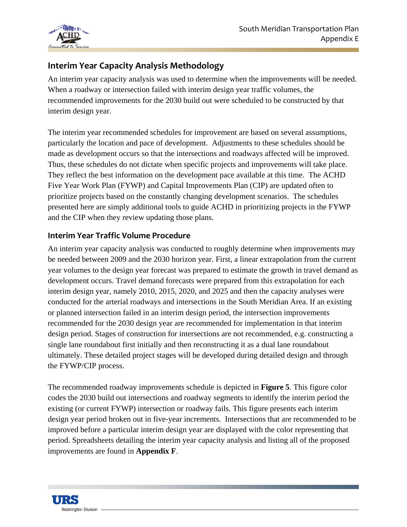

# **Interim Year Capacity Analysis Methodology**

An interim year capacity analysis was used to determine when the improvements will be needed. When a roadway or intersection failed with interim design year traffic volumes, the recommended improvements for the 2030 build out were scheduled to be constructed by that interim design year.

The interim year recommended schedules for improvement are based on several assumptions, particularly the location and pace of development. Adjustments to these schedules should be made as development occurs so that the intersections and roadways affected will be improved. Thus, these schedules do not dictate when specific projects and improvements will take place. They reflect the best information on the development pace available at this time. The ACHD Five Year Work Plan (FYWP) and Capital Improvements Plan (CIP) are updated often to prioritize projects based on the constantly changing development scenarios. The schedules presented here are simply additional tools to guide ACHD in prioritizing projects in the FYWP and the CIP when they review updating those plans.

### **Interim Year Traffic Volume Procedure**

An interim year capacity analysis was conducted to roughly determine when improvements may be needed between 2009 and the 2030 horizon year. First, a linear extrapolation from the current year volumes to the design year forecast was prepared to estimate the growth in travel demand as development occurs. Travel demand forecasts were prepared from this extrapolation for each interim design year, namely 2010, 2015, 2020, and 2025 and then the capacity analyses were conducted for the arterial roadways and intersections in the South Meridian Area. If an existing or planned intersection failed in an interim design period, the intersection improvements recommended for the 2030 design year are recommended for implementation in that interim design period. Stages of construction for intersections are not recommended, e.g. constructing a single lane roundabout first initially and then reconstructing it as a dual lane roundabout ultimately. These detailed project stages will be developed during detailed design and through the FYWP/CIP process.

The recommended roadway improvements schedule is depicted in **Figure 5**. This figure color codes the 2030 build out intersections and roadway segments to identify the interim period the existing (or current FYWP) intersection or roadway fails. This figure presents each interim design year period broken out in five-year increments. Intersections that are recommended to be improved before a particular interim design year are displayed with the color representing that period. Spreadsheets detailing the interim year capacity analysis and listing all of the proposed improvements are found in **Appendix F**.

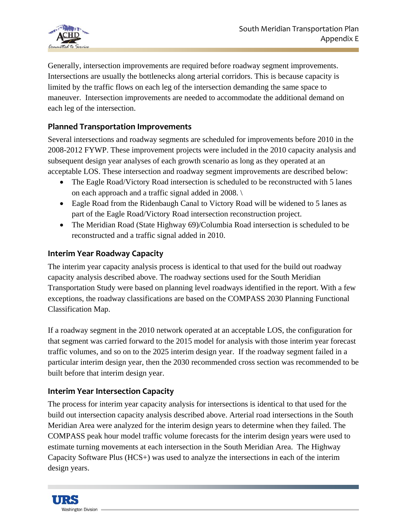

Generally, intersection improvements are required before roadway segment improvements. Intersections are usually the bottlenecks along arterial corridors. This is because capacity is limited by the traffic flows on each leg of the intersection demanding the same space to maneuver. Intersection improvements are needed to accommodate the additional demand on each leg of the intersection.

## **Planned Transportation Improvements**

Several intersections and roadway segments are scheduled for improvements before 2010 in the 2008-2012 FYWP. These improvement projects were included in the 2010 capacity analysis and subsequent design year analyses of each growth scenario as long as they operated at an acceptable LOS. These intersection and roadway segment improvements are described below:

- The Eagle Road/Victory Road intersection is scheduled to be reconstructed with 5 lanes on each approach and a traffic signal added in 2008. \
- Eagle Road from the Ridenbaugh Canal to Victory Road will be widened to 5 lanes as part of the Eagle Road/Victory Road intersection reconstruction project.
- The Meridian Road (State Highway 69)/Columbia Road intersection is scheduled to be reconstructed and a traffic signal added in 2010.

## **Interim Year Roadway Capacity**

The interim year capacity analysis process is identical to that used for the build out roadway capacity analysis described above. The roadway sections used for the South Meridian Transportation Study were based on planning level roadways identified in the report. With a few exceptions, the roadway classifications are based on the COMPASS 2030 Planning Functional Classification Map.

If a roadway segment in the 2010 network operated at an acceptable LOS, the configuration for that segment was carried forward to the 2015 model for analysis with those interim year forecast traffic volumes, and so on to the 2025 interim design year. If the roadway segment failed in a particular interim design year, then the 2030 recommended cross section was recommended to be built before that interim design year.

## **Interim Year Intersection Capacity**

The process for interim year capacity analysis for intersections is identical to that used for the build out intersection capacity analysis described above. Arterial road intersections in the South Meridian Area were analyzed for the interim design years to determine when they failed. The COMPASS peak hour model traffic volume forecasts for the interim design years were used to estimate turning movements at each intersection in the South Meridian Area. The Highway Capacity Software Plus (HCS+) was used to analyze the intersections in each of the interim design years.

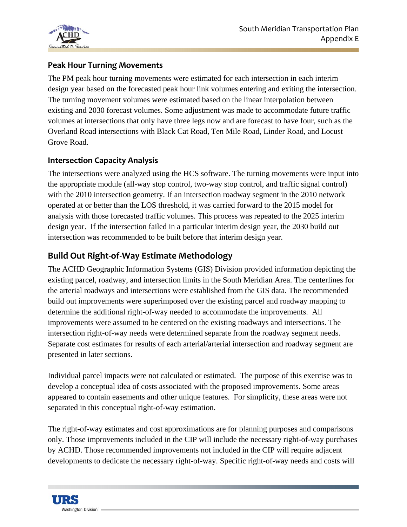

## **Peak Hour Turning Movements**

The PM peak hour turning movements were estimated for each intersection in each interim design year based on the forecasted peak hour link volumes entering and exiting the intersection. The turning movement volumes were estimated based on the linear interpolation between existing and 2030 forecast volumes. Some adjustment was made to accommodate future traffic volumes at intersections that only have three legs now and are forecast to have four, such as the Overland Road intersections with Black Cat Road, Ten Mile Road, Linder Road, and Locust Grove Road.

## **Intersection Capacity Analysis**

The intersections were analyzed using the HCS software. The turning movements were input into the appropriate module (all-way stop control, two-way stop control, and traffic signal control) with the 2010 intersection geometry. If an intersection roadway segment in the 2010 network operated at or better than the LOS threshold, it was carried forward to the 2015 model for analysis with those forecasted traffic volumes. This process was repeated to the 2025 interim design year. If the intersection failed in a particular interim design year, the 2030 build out intersection was recommended to be built before that interim design year.

# **Build Out Right‐of‐Way Estimate Methodology**

The ACHD Geographic Information Systems (GIS) Division provided information depicting the existing parcel, roadway, and intersection limits in the South Meridian Area. The centerlines for the arterial roadways and intersections were established from the GIS data. The recommended build out improvements were superimposed over the existing parcel and roadway mapping to determine the additional right-of-way needed to accommodate the improvements. All improvements were assumed to be centered on the existing roadways and intersections. The intersection right-of-way needs were determined separate from the roadway segment needs. Separate cost estimates for results of each arterial/arterial intersection and roadway segment are presented in later sections.

Individual parcel impacts were not calculated or estimated. The purpose of this exercise was to develop a conceptual idea of costs associated with the proposed improvements. Some areas appeared to contain easements and other unique features. For simplicity, these areas were not separated in this conceptual right-of-way estimation.

The right-of-way estimates and cost approximations are for planning purposes and comparisons only. Those improvements included in the CIP will include the necessary right-of-way purchases by ACHD. Those recommended improvements not included in the CIP will require adjacent developments to dedicate the necessary right-of-way. Specific right-of-way needs and costs will

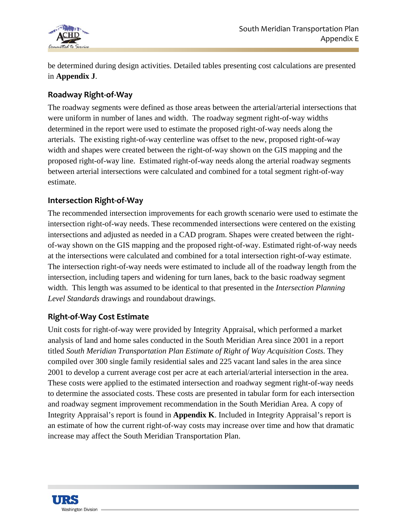

be determined during design activities. Detailed tables presenting cost calculations are presented in **Appendix J**.

### **Roadway Right‐of‐Way**

The roadway segments were defined as those areas between the arterial/arterial intersections that were uniform in number of lanes and width. The roadway segment right-of-way widths determined in the report were used to estimate the proposed right-of-way needs along the arterials. The existing right-of-way centerline was offset to the new, proposed right-of-way width and shapes were created between the right-of-way shown on the GIS mapping and the proposed right-of-way line. Estimated right-of-way needs along the arterial roadway segments between arterial intersections were calculated and combined for a total segment right-of-way estimate.

### **Intersection Right‐of‐Way**

The recommended intersection improvements for each growth scenario were used to estimate the intersection right-of-way needs. These recommended intersections were centered on the existing intersections and adjusted as needed in a CAD program. Shapes were created between the rightof-way shown on the GIS mapping and the proposed right-of-way. Estimated right-of-way needs at the intersections were calculated and combined for a total intersection right-of-way estimate. The intersection right-of-way needs were estimated to include all of the roadway length from the intersection, including tapers and widening for turn lanes, back to the basic roadway segment width. This length was assumed to be identical to that presented in the *Intersection Planning Level Standards* drawings and roundabout drawings.

#### **Right‐of‐Way Cost Estimate**

Unit costs for right-of-way were provided by Integrity Appraisal, which performed a market analysis of land and home sales conducted in the South Meridian Area since 2001 in a report titled *South Meridian Transportation Plan Estimate of Right of Way Acquisition Costs*. They compiled over 300 single family residential sales and 225 vacant land sales in the area since 2001 to develop a current average cost per acre at each arterial/arterial intersection in the area. These costs were applied to the estimated intersection and roadway segment right-of-way needs to determine the associated costs. These costs are presented in tabular form for each intersection and roadway segment improvement recommendation in the South Meridian Area. A copy of Integrity Appraisal's report is found in **Appendix K**. Included in Integrity Appraisal's report is an estimate of how the current right-of-way costs may increase over time and how that dramatic increase may affect the South Meridian Transportation Plan.

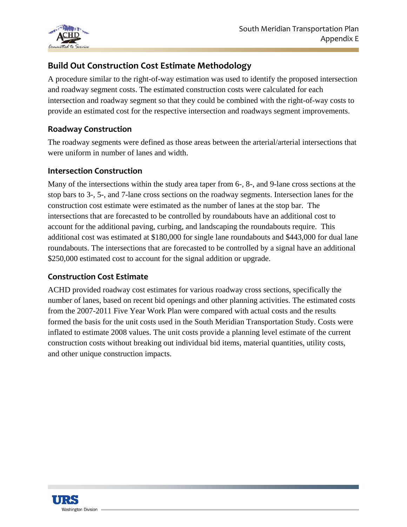

# **Build Out Construction Cost Estimate Methodology**

A procedure similar to the right-of-way estimation was used to identify the proposed intersection and roadway segment costs. The estimated construction costs were calculated for each intersection and roadway segment so that they could be combined with the right-of-way costs to provide an estimated cost for the respective intersection and roadways segment improvements.

#### **Roadway Construction**

The roadway segments were defined as those areas between the arterial/arterial intersections that were uniform in number of lanes and width.

#### **Intersection Construction**

Many of the intersections within the study area taper from 6-, 8-, and 9-lane cross sections at the stop bars to 3-, 5-, and 7-lane cross sections on the roadway segments. Intersection lanes for the construction cost estimate were estimated as the number of lanes at the stop bar. The intersections that are forecasted to be controlled by roundabouts have an additional cost to account for the additional paving, curbing, and landscaping the roundabouts require. This additional cost was estimated at \$180,000 for single lane roundabouts and \$443,000 for dual lane roundabouts. The intersections that are forecasted to be controlled by a signal have an additional \$250,000 estimated cost to account for the signal addition or upgrade.

#### **Construction Cost Estimate**

ACHD provided roadway cost estimates for various roadway cross sections, specifically the number of lanes, based on recent bid openings and other planning activities. The estimated costs from the 2007-2011 Five Year Work Plan were compared with actual costs and the results formed the basis for the unit costs used in the South Meridian Transportation Study. Costs were inflated to estimate 2008 values. The unit costs provide a planning level estimate of the current construction costs without breaking out individual bid items, material quantities, utility costs, and other unique construction impacts.

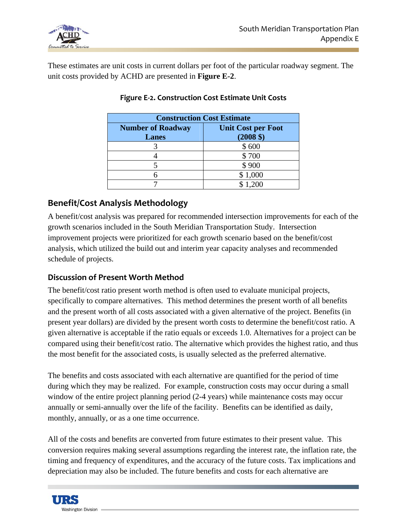

These estimates are unit costs in current dollars per foot of the particular roadway segment. The unit costs provided by ACHD are presented in **Figure E-2**.

| <b>Construction Cost Estimate</b>        |                                                  |  |  |
|------------------------------------------|--------------------------------------------------|--|--|
| <b>Number of Roadway</b><br><b>Lanes</b> | <b>Unit Cost per Foot</b><br>$(2008 \text{ } $)$ |  |  |
|                                          | \$600                                            |  |  |
|                                          | \$700                                            |  |  |
|                                          | \$900                                            |  |  |
|                                          | \$1,000                                          |  |  |
|                                          | \$1.200                                          |  |  |

#### **Figure E‐2. Construction Cost Estimate Unit Costs**

# **Benefit/Cost Analysis Methodology**

A benefit/cost analysis was prepared for recommended intersection improvements for each of the growth scenarios included in the South Meridian Transportation Study. Intersection improvement projects were prioritized for each growth scenario based on the benefit/cost analysis, which utilized the build out and interim year capacity analyses and recommended schedule of projects.

## **Discussion of Present Worth Method**

The benefit/cost ratio present worth method is often used to evaluate municipal projects, specifically to compare alternatives. This method determines the present worth of all benefits and the present worth of all costs associated with a given alternative of the project. Benefits (in present year dollars) are divided by the present worth costs to determine the benefit/cost ratio. A given alternative is acceptable if the ratio equals or exceeds 1.0. Alternatives for a project can be compared using their benefit/cost ratio. The alternative which provides the highest ratio, and thus the most benefit for the associated costs, is usually selected as the preferred alternative.

The benefits and costs associated with each alternative are quantified for the period of time during which they may be realized. For example, construction costs may occur during a small window of the entire project planning period (2-4 years) while maintenance costs may occur annually or semi-annually over the life of the facility. Benefits can be identified as daily, monthly, annually, or as a one time occurrence.

All of the costs and benefits are converted from future estimates to their present value. This conversion requires making several assumptions regarding the interest rate, the inflation rate, the timing and frequency of expenditures, and the accuracy of the future costs. Tax implications and depreciation may also be included. The future benefits and costs for each alternative are

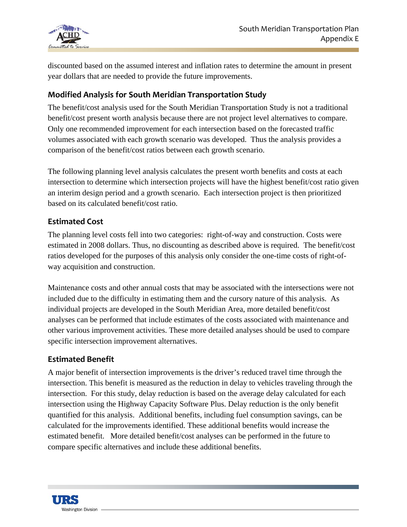

discounted based on the assumed interest and inflation rates to determine the amount in present year dollars that are needed to provide the future improvements.

### **Modified Analysis for South Meridian Transportation Study**

The benefit/cost analysis used for the South Meridian Transportation Study is not a traditional benefit/cost present worth analysis because there are not project level alternatives to compare. Only one recommended improvement for each intersection based on the forecasted traffic volumes associated with each growth scenario was developed. Thus the analysis provides a comparison of the benefit/cost ratios between each growth scenario.

The following planning level analysis calculates the present worth benefits and costs at each intersection to determine which intersection projects will have the highest benefit/cost ratio given an interim design period and a growth scenario. Each intersection project is then prioritized based on its calculated benefit/cost ratio.

#### **Estimated Cost**

The planning level costs fell into two categories: right-of-way and construction. Costs were estimated in 2008 dollars. Thus, no discounting as described above is required. The benefit/cost ratios developed for the purposes of this analysis only consider the one-time costs of right-ofway acquisition and construction.

Maintenance costs and other annual costs that may be associated with the intersections were not included due to the difficulty in estimating them and the cursory nature of this analysis. As individual projects are developed in the South Meridian Area, more detailed benefit/cost analyses can be performed that include estimates of the costs associated with maintenance and other various improvement activities. These more detailed analyses should be used to compare specific intersection improvement alternatives.

#### **Estimated Benefit**

A major benefit of intersection improvements is the driver's reduced travel time through the intersection. This benefit is measured as the reduction in delay to vehicles traveling through the intersection. For this study, delay reduction is based on the average delay calculated for each intersection using the Highway Capacity Software Plus. Delay reduction is the only benefit quantified for this analysis. Additional benefits, including fuel consumption savings, can be calculated for the improvements identified. These additional benefits would increase the estimated benefit. More detailed benefit/cost analyses can be performed in the future to compare specific alternatives and include these additional benefits.

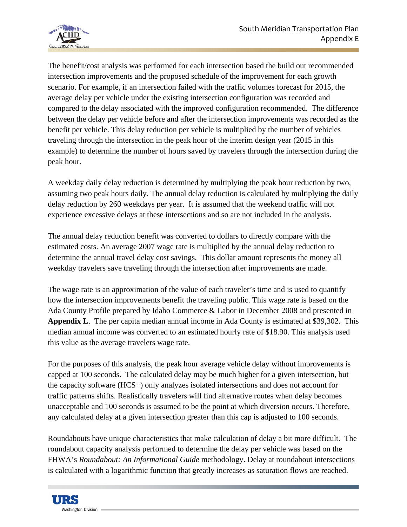

The benefit/cost analysis was performed for each intersection based the build out recommended intersection improvements and the proposed schedule of the improvement for each growth scenario. For example, if an intersection failed with the traffic volumes forecast for 2015, the average delay per vehicle under the existing intersection configuration was recorded and compared to the delay associated with the improved configuration recommended. The difference between the delay per vehicle before and after the intersection improvements was recorded as the benefit per vehicle. This delay reduction per vehicle is multiplied by the number of vehicles traveling through the intersection in the peak hour of the interim design year (2015 in this example) to determine the number of hours saved by travelers through the intersection during the peak hour.

A weekday daily delay reduction is determined by multiplying the peak hour reduction by two, assuming two peak hours daily. The annual delay reduction is calculated by multiplying the daily delay reduction by 260 weekdays per year. It is assumed that the weekend traffic will not experience excessive delays at these intersections and so are not included in the analysis.

The annual delay reduction benefit was converted to dollars to directly compare with the estimated costs. An average 2007 wage rate is multiplied by the annual delay reduction to determine the annual travel delay cost savings. This dollar amount represents the money all weekday travelers save traveling through the intersection after improvements are made.

The wage rate is an approximation of the value of each traveler's time and is used to quantify how the intersection improvements benefit the traveling public. This wage rate is based on the Ada County Profile prepared by Idaho Commerce & Labor in December 2008 and presented in **Appendix L**. The per capita median annual income in Ada County is estimated at \$39,302. This median annual income was converted to an estimated hourly rate of \$18.90. This analysis used this value as the average travelers wage rate.

For the purposes of this analysis, the peak hour average vehicle delay without improvements is capped at 100 seconds. The calculated delay may be much higher for a given intersection, but the capacity software (HCS+) only analyzes isolated intersections and does not account for traffic patterns shifts. Realistically travelers will find alternative routes when delay becomes unacceptable and 100 seconds is assumed to be the point at which diversion occurs. Therefore, any calculated delay at a given intersection greater than this cap is adjusted to 100 seconds.

Roundabouts have unique characteristics that make calculation of delay a bit more difficult. The roundabout capacity analysis performed to determine the delay per vehicle was based on the FHWA's *Roundabout: An Informational Guide* methodology. Delay at roundabout intersections is calculated with a logarithmic function that greatly increases as saturation flows are reached.

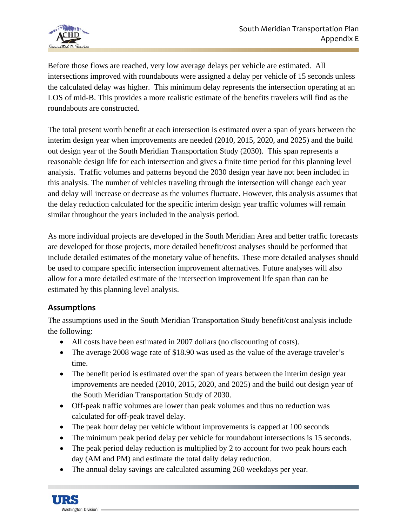

Before those flows are reached, very low average delays per vehicle are estimated. All intersections improved with roundabouts were assigned a delay per vehicle of 15 seconds unless the calculated delay was higher. This minimum delay represents the intersection operating at an LOS of mid-B. This provides a more realistic estimate of the benefits travelers will find as the roundabouts are constructed.

The total present worth benefit at each intersection is estimated over a span of years between the interim design year when improvements are needed (2010, 2015, 2020, and 2025) and the build out design year of the South Meridian Transportation Study (2030). This span represents a reasonable design life for each intersection and gives a finite time period for this planning level analysis. Traffic volumes and patterns beyond the 2030 design year have not been included in this analysis. The number of vehicles traveling through the intersection will change each year and delay will increase or decrease as the volumes fluctuate. However, this analysis assumes that the delay reduction calculated for the specific interim design year traffic volumes will remain similar throughout the years included in the analysis period.

As more individual projects are developed in the South Meridian Area and better traffic forecasts are developed for those projects, more detailed benefit/cost analyses should be performed that include detailed estimates of the monetary value of benefits. These more detailed analyses should be used to compare specific intersection improvement alternatives. Future analyses will also allow for a more detailed estimate of the intersection improvement life span than can be estimated by this planning level analysis.

#### **Assumptions**

The assumptions used in the South Meridian Transportation Study benefit/cost analysis include the following:

- All costs have been estimated in 2007 dollars (no discounting of costs).
- The average 2008 wage rate of \$18.90 was used as the value of the average traveler's time.
- The benefit period is estimated over the span of years between the interim design year improvements are needed (2010, 2015, 2020, and 2025) and the build out design year of the South Meridian Transportation Study of 2030.
- Off-peak traffic volumes are lower than peak volumes and thus no reduction was calculated for off-peak travel delay.
- The peak hour delay per vehicle without improvements is capped at 100 seconds
- The minimum peak period delay per vehicle for roundabout intersections is 15 seconds.
- The peak period delay reduction is multiplied by 2 to account for two peak hours each day (AM and PM) and estimate the total daily delay reduction.
- The annual delay savings are calculated assuming 260 weekdays per year.

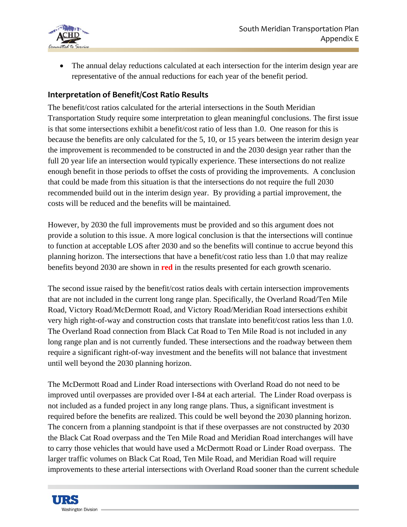

• The annual delay reductions calculated at each intersection for the interim design year are representative of the annual reductions for each year of the benefit period.

#### **Interpretation of Benefit/Cost Ratio Results**

The benefit/cost ratios calculated for the arterial intersections in the South Meridian Transportation Study require some interpretation to glean meaningful conclusions. The first issue is that some intersections exhibit a benefit/cost ratio of less than 1.0. One reason for this is because the benefits are only calculated for the 5, 10, or 15 years between the interim design year the improvement is recommended to be constructed in and the 2030 design year rather than the full 20 year life an intersection would typically experience. These intersections do not realize enough benefit in those periods to offset the costs of providing the improvements. A conclusion that could be made from this situation is that the intersections do not require the full 2030 recommended build out in the interim design year. By providing a partial improvement, the costs will be reduced and the benefits will be maintained.

However, by 2030 the full improvements must be provided and so this argument does not provide a solution to this issue. A more logical conclusion is that the intersections will continue to function at acceptable LOS after 2030 and so the benefits will continue to accrue beyond this planning horizon. The intersections that have a benefit/cost ratio less than 1.0 that may realize benefits beyond 2030 are shown in **red** in the results presented for each growth scenario.

The second issue raised by the benefit/cost ratios deals with certain intersection improvements that are not included in the current long range plan. Specifically, the Overland Road/Ten Mile Road, Victory Road/McDermott Road, and Victory Road/Meridian Road intersections exhibit very high right-of-way and construction costs that translate into benefit/cost ratios less than 1.0. The Overland Road connection from Black Cat Road to Ten Mile Road is not included in any long range plan and is not currently funded. These intersections and the roadway between them require a significant right-of-way investment and the benefits will not balance that investment until well beyond the 2030 planning horizon.

The McDermott Road and Linder Road intersections with Overland Road do not need to be improved until overpasses are provided over I-84 at each arterial. The Linder Road overpass is not included as a funded project in any long range plans. Thus, a significant investment is required before the benefits are realized. This could be well beyond the 2030 planning horizon. The concern from a planning standpoint is that if these overpasses are not constructed by 2030 the Black Cat Road overpass and the Ten Mile Road and Meridian Road interchanges will have to carry those vehicles that would have used a McDermott Road or Linder Road overpass. The larger traffic volumes on Black Cat Road, Ten Mile Road, and Meridian Road will require improvements to these arterial intersections with Overland Road sooner than the current schedule